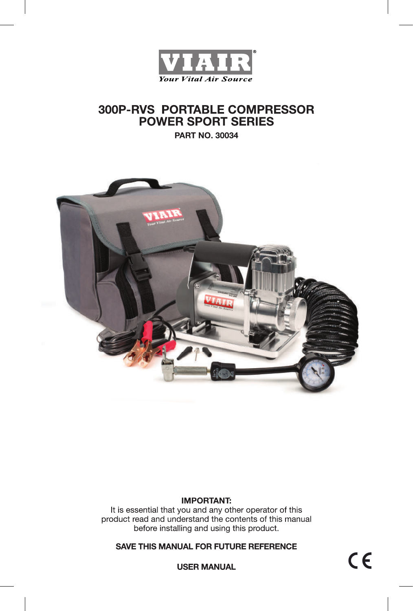

# **300P-RVS PORTABLE COMPRESSOR POWER SPORT SERIES**

**PART NO. 30034** 



## **IMPORTANT:**

It is essential that you and any other operator of this product read and understand the contents of this manual before installing and using this product.

## **SAVE THIS MANUAL FOR FUTURE REFERENCE**

 $C \in$ 

**USER MANUAL**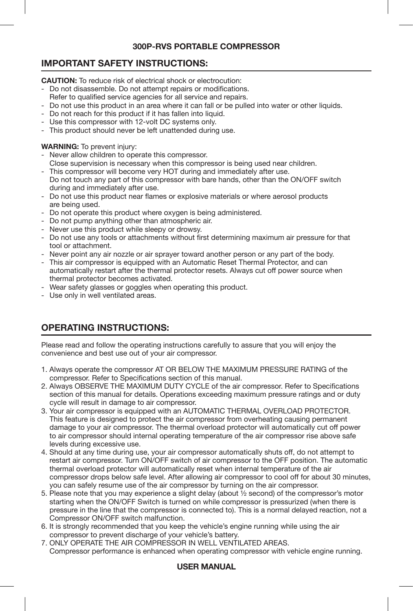## **300P-RVS PORTABLE COMPRESSOR**

## **IMPORTANT SAFETY INSTRUCTIONS:**

**CAUTION:** To reduce risk of electrical shock or electrocution:

- Do not disassemble. Do not attempt repairs or modifications.
- Refer to qualified service agencies for all service and repairs.
- Do not use this product in an area where it can fall or be pulled into water or other liquids.
- Do not reach for this product if it has fallen into liquid.
- Use this compressor with 12-volt DC systems only.
- This product should never be left unattended during use.

### **WARNING:** To prevent injury:

- Never allow children to operate this compressor.
- Close supervision is necessary when this compressor is being used near children.
- This compressor will become very HOT during and immediately after use. Do not touch any part of this compressor with bare hands, other than the ON/OFF switch during and immediately after use.
- Do not use this product near flames or explosive materials or where aerosol products are being used.
- Do not operate this product where oxygen is being administered.
- Do not pump anything other than atmospheric air.
- Never use this product while sleepy or drowsy.
- Do not use any tools or attachments without first determining maximum air pressure for that tool or attachment.
- Never point any air nozzle or air sprayer toward another person or any part of the body.
- This air compressor is equipped with an Automatic Reset Thermal Protector, and can automatically restart after the thermal protector resets. Always cut off power source when thermal protector becomes activated.
- Wear safety glasses or goggles when operating this product.
- Use only in well ventilated areas.

# **OPERATING INSTRUCTIONS:**

Please read and follow the operating instructions carefully to assure that you will enjoy the convenience and best use out of your air compressor.

- 1. Always operate the compressor AT OR BELOW THE MAXIMUM PRESSURE RATING of the compressor. Refer to Specifications section of this manual.
- 2. Always OBSERVE THE MAXIMUM DUTY CYCLE of the air compressor. Refer to Specifications section of this manual for details. Operations exceeding maximum pressure ratings and or duty cycle will result in damage to air compressor.
- 3. Your air compressor is equipped with an AUTOMATIC THERMAL OVERLOAD PROTECTOR. This feature is designed to protect the air compressor from overheating causing permanent damage to your air compressor. The thermal overload protector will automatically cut off power to air compressor should internal operating temperature of the air compressor rise above safe levels during excessive use.
- 4. Should at any time during use, your air compressor automatically shuts off, do not attempt to restart air compressor. Turn ON/OFF switch of air compressor to the OFF position. The automatic thermal overload protector will automatically reset when internal temperature of the air compressor drops below safe level. After allowing air compressor to cool off for about 30 minutes, you can safely resume use of the air compressor by turning on the air compressor.
- 5. Please note that you may experience a slight delay (about ½ second) of the compressor's motor starting when the ON/OFF Switch is turned on while compressor is pressurized (when there is pressure in the line that the compressor is connected to). This is a normal delayed reaction, not a Compressor ON/OFF switch malfunction.
- 6. It is strongly recommended that you keep the vehicle's engine running while using the air compressor to prevent discharge of your vehicle's battery.
- 7. ONLY OPERATE THE AIR COMPRESSOR IN WELL VENTILATED AREAS. Compressor performance is enhanced when operating compressor with vehicle engine running.

#### **USER MANUAL**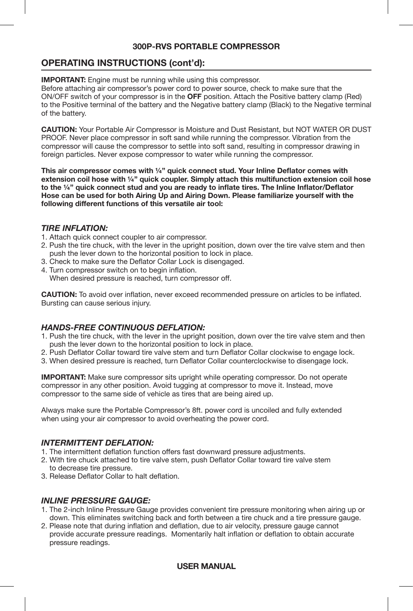### **300P-RVS PORTABLE COMPRESSOR**

## **OPERATING INSTRUCTIONS (cont'd):**

**IMPORTANT:** Engine must be running while using this compressor.

Before attaching air compressor's power cord to power source, check to make sure that the ON/OFF switch of your compressor is in the **OFF** position. Attach the Positive battery clamp (Red) to the Positive terminal of the battery and the Negative battery clamp (Black) to the Negative terminal of the battery.

**CAUTION:** Your Portable Air Compressor is Moisture and Dust Resistant, but NOT WATER OR DUST PROOF. Never place compressor in soft sand while running the compressor. Vibration from the compressor will cause the compressor to settle into soft sand, resulting in compressor drawing in foreign particles. Never expose compressor to water while running the compressor.

**This air compressor comes with ¼" quick connect stud. Your Inline Deflator comes with extension coil hose with ¼" quick coupler. Simply attach this multifunction extension coil hose to the ¼" quick connect stud and you are ready to inflate tires. The Inline Inflator/Deflator Hose can be used for both Airing Up and Airing Down. Please familiarize yourself with the following different functions of this versatile air tool:**

#### *TIRE INFLATION:*

- 1. Attach quick connect coupler to air compressor.
- 2. Push the tire chuck, with the lever in the upright position, down over the tire valve stem and then push the lever down to the horizontal position to lock in place.
- 3. Check to make sure the Deflator Collar Lock is disengaged.
- 4. Turn compressor switch on to begin inflation. When desired pressure is reached, turn compressor off.

**CAUTION:** To avoid over inflation, never exceed recommended pressure on articles to be inflated. Bursting can cause serious injury.

## *HANDS-FREE CONTINUOUS DEFLATION:*

- 1. Push the tire chuck, with the lever in the upright position, down over the tire valve stem and then push the lever down to the horizontal position to lock in place.
- 2. Push Deflator Collar toward tire valve stem and turn Deflator Collar clockwise to engage lock.
- 3. When desired pressure is reached, turn Deflator Collar counterclockwise to disengage lock.

**IMPORTANT:** Make sure compressor sits upright while operating compressor. Do not operate compressor in any other position. Avoid tugging at compressor to move it. Instead, move compressor to the same side of vehicle as tires that are being aired up.

Always make sure the Portable Compressor's 8ft. power cord is uncoiled and fully extended when using your air compressor to avoid overheating the power cord.

### *INTERMITTENT DEFLATION:*

- 1. The intermittent deflation function offers fast downward pressure adjustments.
- 2. With tire chuck attached to tire valve stem, push Deflator Collar toward tire valve stem to decrease tire pressure.
- 3. Release Deflator Collar to halt deflation.

### *INLINE PRESSURE GAUGE:*

- 1. The 2-inch Inline Pressure Gauge provides convenient tire pressure monitoring when airing up or down. This eliminates switching back and forth between a tire chuck and a tire pressure gauge.
- 2. Please note that during inflation and deflation, due to air velocity, pressure gauge cannot provide accurate pressure readings. Momentarily halt inflation or deflation to obtain accurate pressure readings.

#### **USER MANUAL**